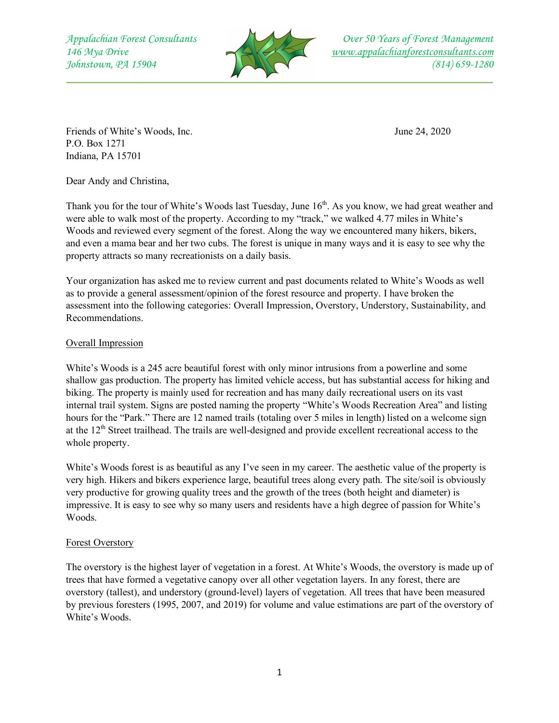

Friends of White's Woods, Inc. June 24, 2020 P.O. Box 1271 Indiana, PA 15701

Dear Andy and Christina,

Thank you for the tour of White's Woods last Tuesday, June 16<sup>th</sup>. As you know, we had great weather and were able to walk most of the property. According to my "track," we walked 4.77 miles in White's Woods and reviewed every segment of the forest. Along the way we encountered many hikers, bikers, and even a mama bear and her two cubs. The forest is unique in many ways and it is easy to see why the property attracts so many recreationists on a daily basis.

Your organization has asked me to review current and past documents related to White's Woods as well as to provide a general assessment/opinion of the forest resource and property. I have broken the assessment into the following categories: Overall Impression, Overstory, Understory, Sustainability, and Recommendations.

# Overall Impression

White's Woods is a 245 acre beautiful forest with only minor intrusions from a powerline and some shallow gas production. The property has limited vehicle access, but has substantial access for hiking and biking. The property is mainly used for recreation and has many daily recreational users on its vast internal trail system. Signs are posted naming the property "White's Woods Recreation Area" and listing hours for the "Park." There are 12 named trails (totaling over 5 miles in length) listed on a welcome sign at the  $12<sup>th</sup>$  Street trailhead. The trails are well-designed and provide excellent recreational access to the whole property.

White's Woods forest is as beautiful as any I've seen in my career. The aesthetic value of the property is very high. Hikers and bikers experience large, beautiful trees along every path. The site/soil is obviously very productive for growing quality trees and the growth of the trees (both height and diameter) is impressive. It is easy to see why so many users and residents have a high degree of passion for White's Woods.

# Forest Overstory

The overstory is the highest layer of vegetation in a forest. At White's Woods, the overstory is made up of trees that have formed a vegetative canopy over all other vegetation layers. In any forest, there are overstory (tallest), and understory (ground-level) layers of vegetation. All trees that have been measured by previous foresters (1995, 2007, and 2019) for volume and value estimations are part of the overstory of White's Woods.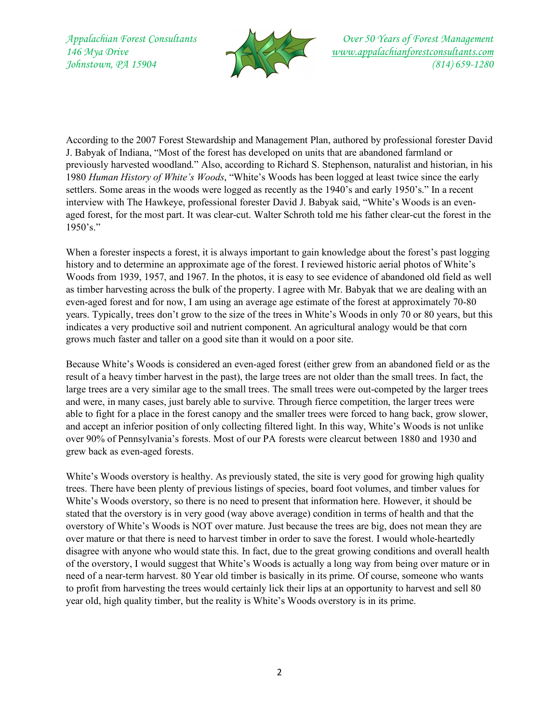

According to the 2007 Forest Stewardship and Management Plan, authored by professional forester David J. Babyak of Indiana, "Most of the forest has developed on units that are abandoned farmland or previously harvested woodland." Also, according to Richard S. Stephenson, naturalist and historian, in his 1980 *Human History of White's Woods*, "White's Woods has been logged at least twice since the early settlers. Some areas in the woods were logged as recently as the 1940's and early 1950's." In a recent interview with The Hawkeye, professional forester David J. Babyak said, "White's Woods is an evenaged forest, for the most part. It was clear-cut. Walter Schroth told me his father clear-cut the forest in the 1950's."

When a forester inspects a forest, it is always important to gain knowledge about the forest's past logging history and to determine an approximate age of the forest. I reviewed historic aerial photos of White's Woods from 1939, 1957, and 1967. In the photos, it is easy to see evidence of abandoned old field as well as timber harvesting across the bulk of the property. I agree with Mr. Babyak that we are dealing with an even-aged forest and for now, I am using an average age estimate of the forest at approximately 70-80 years. Typically, trees don't grow to the size of the trees in White's Woods in only 70 or 80 years, but this indicates a very productive soil and nutrient component. An agricultural analogy would be that corn grows much faster and taller on a good site than it would on a poor site.

Because White's Woods is considered an even-aged forest (either grew from an abandoned field or as the result of a heavy timber harvest in the past), the large trees are not older than the small trees. In fact, the large trees are a very similar age to the small trees. The small trees were out-competed by the larger trees and were, in many cases, just barely able to survive. Through fierce competition, the larger trees were able to fight for a place in the forest canopy and the smaller trees were forced to hang back, grow slower, and accept an inferior position of only collecting filtered light. In this way, White's Woods is not unlike over 90% of Pennsylvania's forests. Most of our PA forests were clearcut between 1880 and 1930 and grew back as even-aged forests.

White's Woods overstory is healthy. As previously stated, the site is very good for growing high quality trees. There have been plenty of previous listings of species, board foot volumes, and timber values for White's Woods overstory, so there is no need to present that information here. However, it should be stated that the overstory is in very good (way above average) condition in terms of health and that the overstory of White's Woods is NOT over mature. Just because the trees are big, does not mean they are over mature or that there is need to harvest timber in order to save the forest. I would whole-heartedly disagree with anyone who would state this. In fact, due to the great growing conditions and overall health of the overstory, I would suggest that White's Woods is actually a long way from being over mature or in need of a near-term harvest. 80 Year old timber is basically in its prime. Of course, someone who wants to profit from harvesting the trees would certainly lick their lips at an opportunity to harvest and sell 80 year old, high quality timber, but the reality is White's Woods overstory is in its prime.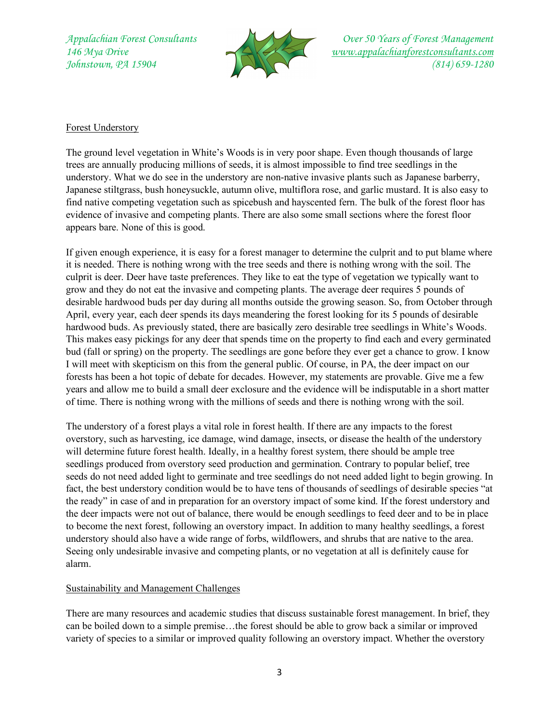

# Forest Understory

The ground level vegetation in White's Woods is in very poor shape. Even though thousands of large trees are annually producing millions of seeds, it is almost impossible to find tree seedlings in the understory. What we do see in the understory are non-native invasive plants such as Japanese barberry, Japanese stiltgrass, bush honeysuckle, autumn olive, multiflora rose, and garlic mustard. It is also easy to find native competing vegetation such as spicebush and hayscented fern. The bulk of the forest floor has evidence of invasive and competing plants. There are also some small sections where the forest floor appears bare. None of this is good.

If given enough experience, it is easy for a forest manager to determine the culprit and to put blame where it is needed. There is nothing wrong with the tree seeds and there is nothing wrong with the soil. The culprit is deer. Deer have taste preferences. They like to eat the type of vegetation we typically want to grow and they do not eat the invasive and competing plants. The average deer requires 5 pounds of desirable hardwood buds per day during all months outside the growing season. So, from October through April, every year, each deer spends its days meandering the forest looking for its 5 pounds of desirable hardwood buds. As previously stated, there are basically zero desirable tree seedlings in White's Woods. This makes easy pickings for any deer that spends time on the property to find each and every germinated bud (fall or spring) on the property. The seedlings are gone before they ever get a chance to grow. I know I will meet with skepticism on this from the general public. Of course, in PA, the deer impact on our forests has been a hot topic of debate for decades. However, my statements are provable. Give me a few years and allow me to build a small deer exclosure and the evidence will be indisputable in a short matter of time. There is nothing wrong with the millions of seeds and there is nothing wrong with the soil.

The understory of a forest plays a vital role in forest health. If there are any impacts to the forest overstory, such as harvesting, ice damage, wind damage, insects, or disease the health of the understory will determine future forest health. Ideally, in a healthy forest system, there should be ample tree seedlings produced from overstory seed production and germination. Contrary to popular belief, tree seeds do not need added light to germinate and tree seedlings do not need added light to begin growing. In fact, the best understory condition would be to have tens of thousands of seedlings of desirable species "at the ready" in case of and in preparation for an overstory impact of some kind. If the forest understory and the deer impacts were not out of balance, there would be enough seedlings to feed deer and to be in place to become the next forest, following an overstory impact. In addition to many healthy seedlings, a forest understory should also have a wide range of forbs, wildflowers, and shrubs that are native to the area. Seeing only undesirable invasive and competing plants, or no vegetation at all is definitely cause for alarm.

# Sustainability and Management Challenges

There are many resources and academic studies that discuss sustainable forest management. In brief, they can be boiled down to a simple premise…the forest should be able to grow back a similar or improved variety of species to a similar or improved quality following an overstory impact. Whether the overstory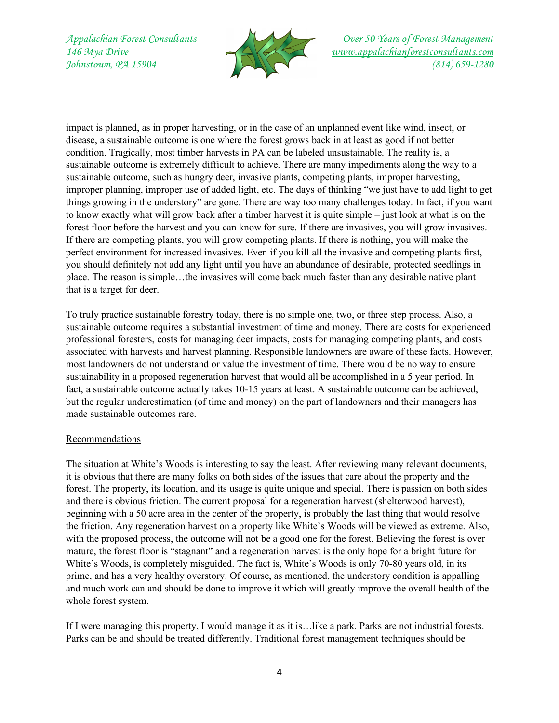

impact is planned, as in proper harvesting, or in the case of an unplanned event like wind, insect, or disease, a sustainable outcome is one where the forest grows back in at least as good if not better condition. Tragically, most timber harvests in PA can be labeled unsustainable. The reality is, a sustainable outcome is extremely difficult to achieve. There are many impediments along the way to a sustainable outcome, such as hungry deer, invasive plants, competing plants, improper harvesting, improper planning, improper use of added light, etc. The days of thinking "we just have to add light to get things growing in the understory" are gone. There are way too many challenges today. In fact, if you want to know exactly what will grow back after a timber harvest it is quite simple – just look at what is on the forest floor before the harvest and you can know for sure. If there are invasives, you will grow invasives. If there are competing plants, you will grow competing plants. If there is nothing, you will make the perfect environment for increased invasives. Even if you kill all the invasive and competing plants first, you should definitely not add any light until you have an abundance of desirable, protected seedlings in place. The reason is simple…the invasives will come back much faster than any desirable native plant that is a target for deer.

To truly practice sustainable forestry today, there is no simple one, two, or three step process. Also, a sustainable outcome requires a substantial investment of time and money. There are costs for experienced professional foresters, costs for managing deer impacts, costs for managing competing plants, and costs associated with harvests and harvest planning. Responsible landowners are aware of these facts. However, most landowners do not understand or value the investment of time. There would be no way to ensure sustainability in a proposed regeneration harvest that would all be accomplished in a 5 year period. In fact, a sustainable outcome actually takes 10-15 years at least. A sustainable outcome can be achieved, but the regular underestimation (of time and money) on the part of landowners and their managers has made sustainable outcomes rare.

# Recommendations

The situation at White's Woods is interesting to say the least. After reviewing many relevant documents, it is obvious that there are many folks on both sides of the issues that care about the property and the forest. The property, its location, and its usage is quite unique and special. There is passion on both sides and there is obvious friction. The current proposal for a regeneration harvest (shelterwood harvest), beginning with a 50 acre area in the center of the property, is probably the last thing that would resolve the friction. Any regeneration harvest on a property like White's Woods will be viewed as extreme. Also, with the proposed process, the outcome will not be a good one for the forest. Believing the forest is over mature, the forest floor is "stagnant" and a regeneration harvest is the only hope for a bright future for White's Woods, is completely misguided. The fact is, White's Woods is only 70-80 years old, in its prime, and has a very healthy overstory. Of course, as mentioned, the understory condition is appalling and much work can and should be done to improve it which will greatly improve the overall health of the whole forest system.

If I were managing this property, I would manage it as it is…like a park. Parks are not industrial forests. Parks can be and should be treated differently. Traditional forest management techniques should be